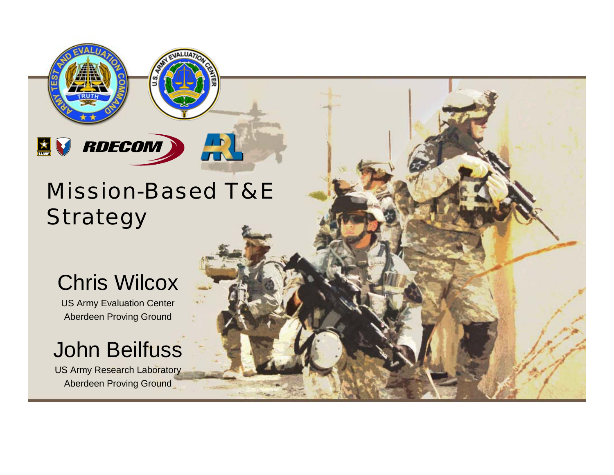

### *Mission-Based T&E Strategy*

### Chris Wilcox

US Army Evaluation Center Aberdeen Proving Ground

### John Beilfuss

US Army Research Laboratory Aberdeen Proving Ground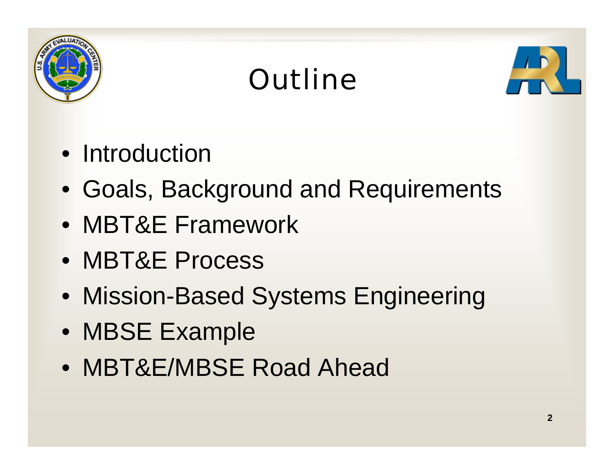

# *Outline*



- Introduction
- Goals, Background and Requirements
- MBT&E Framework
- MBT&E Process
- Mission-Based Systems Engineering
- MBSE Example
- MBT&E/MBSE Road Ahead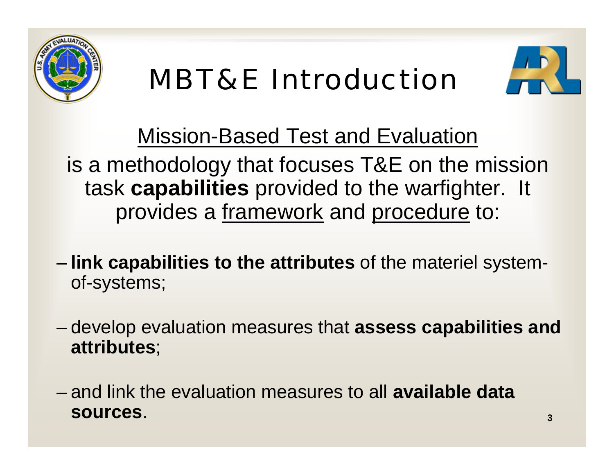

# *MBT&E Introduction*



Mission-Based Test and Evaluation

is a methodology that focuses T&E on the mission task **capabilities** provided to the warfighter. It provides a framework and procedure to:

- – **link capabilities to the attributes** of the materiel systemof-systems;
- – develop evaluation measures that **assess capabilities and attributes**;
- and link the evaluation measures to all **available data sources**.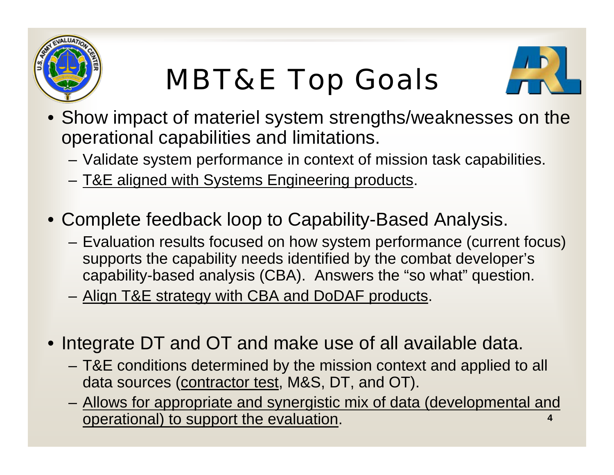

# *MBT&E Top Goals*



- Show impact of materiel system strengths/weaknesses on the operational capabilities and limitations.
	- Validate system performance in context of mission task capabilities.
	- T&E aligned with Systems Engineering products.
- Complete feedback loop to Capability-Based Analysis.
	- Evaluation results focused on how system performance (current focus) supports the capability needs identified by the combat developer's capability-based analysis (CBA). Answers the "so what" question.
	- Align T&E strategy with CBA and DoDAF products.
- Integrate DT and OT and make use of all available data.
	- T&E conditions determined by the mission context and applied to all data sources (contractor test, M&S, DT, and OT).
	- **4** Allows for appropriate and synergistic mix of data (developmental and operational) to support the evaluation.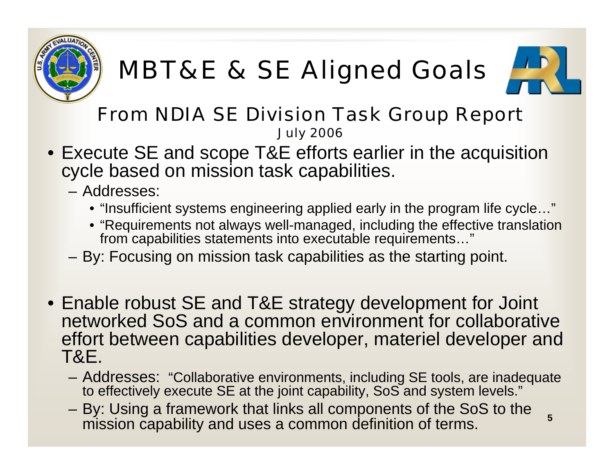

# *MBT&E & SE Aligned Goals*



### *From NDIA SE Division Task Group Report*

*July 2006*

- Execute SE and scope T&E efforts earlier in the acquisition cycle based on mission task capabilities.
	- Addresses:
		- $\bullet$  "Insufficient systems engineering applied early in the program life cycle…"
		- "Requirements not always well-managed, including the effective translation from capabilities statements into executable requirements…"
	- By: Focusing on mission task capabilities as the starting point.
- Enable robust SE and T&E strategy development for Joint networked SoS and a common environment for collaborative effort between capabilities developer, materiel developer and T&E.
	- Addresses: "Collaborative environments, including SE tools, are inadequate to effectively execute SE at the joint capability, SoS and system levels."
	- **5** By: Using a framework that links all components of the SoS to the mission capability and uses a common definition of terms.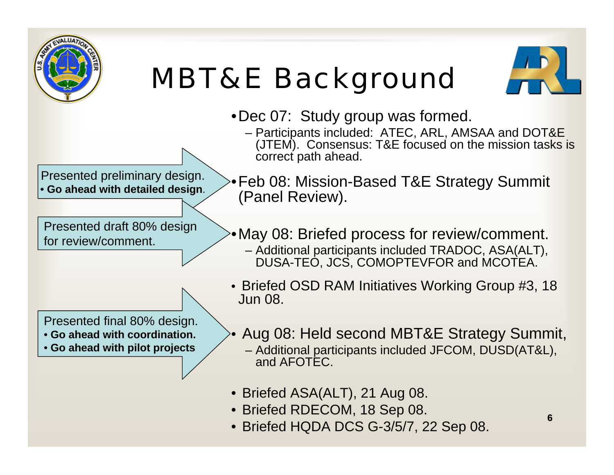

# *MBT&E Background*



- •Dec 07: Study group was formed.
	- Participants included: ATEC, ARL, AMSAA and DOT&E (JTEM). Consensus: T&E focused on the mission tasks is correct path ahead.

Presented preliminary design. • **Go ahead with detailed design**.

Presented draft 80% design for review/comment.

Presented final 80% design.

- **Go ahead with coordination.**
- **Go ahead with pilot projects**

•Feb 08: Mission-Based T&E Strategy Summit (Panel Review).

•May 08: Briefed process for review/comment. – Additional participants included TRADOC, ASA(ALT), DUSA-TEO, JCS, COMOPTEVFOR and MCOTEA.

• Briefed OSD RAM Initiatives Working Group #3, 18 Jun 08.

- Aug 08: Held second MBT&E Strategy Summit,
	- Additional participants included JFCOM, DUSD(AT&L), and AFOTEC.
- Briefed ASA(ALT), 21 Aug 08.
- Briefed RDECOM, 18 Sep 08.
- Briefed HQDA DCS G-3/5/7, 22 Sep 08.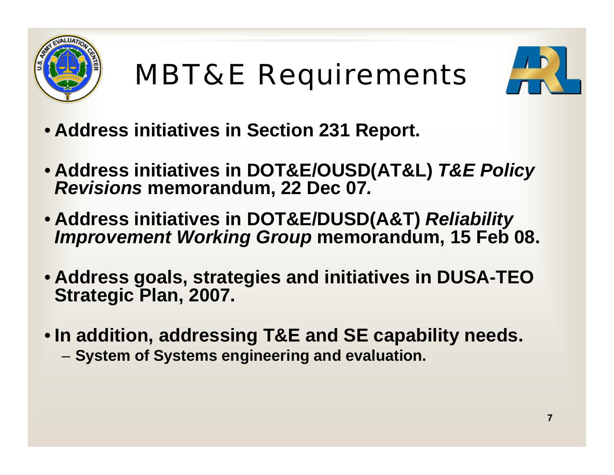

# *MBT&E Requirements*



- **Address initiatives in Section 231 Report.**
- **Address initiatives in DOT&E/OUSD(AT&L)** *T&E Policy Revisions* **memorandum, 22 Dec 07***.*
- **Address initiatives in DOT&E/DUSD(A&T)** *Reliability Improvement Working Group* **memorandum, 15 Feb 08.**
- **Address goals, strategies and initiatives in DUSA-TEO Strategic Plan, 2007.**
- **In addition, addressing T&E and SE capability needs.**
	- –**System of Systems engineering and evaluation.**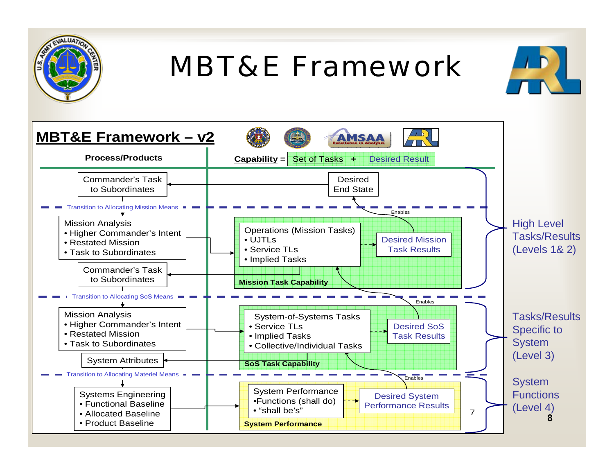

# *MBT&E Framework*



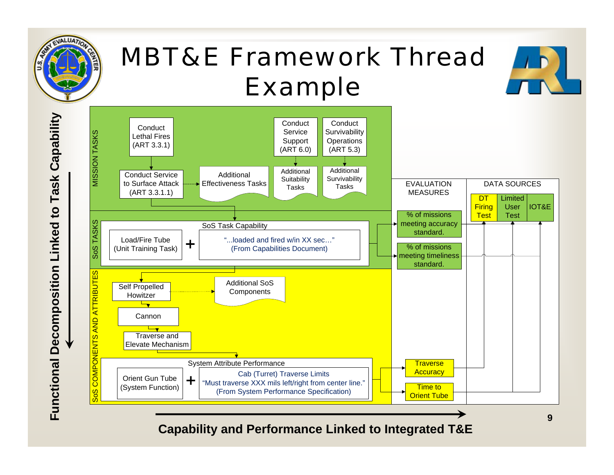

**Capability and Performance Linked to Integrated T&E**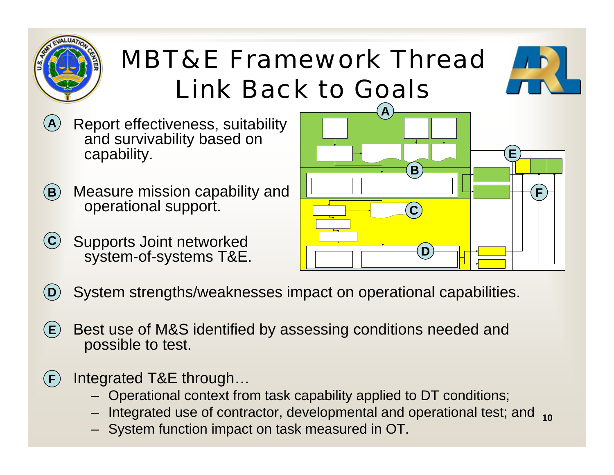

# *MBT&E Framework Thread Link Back to Goals*



- Report effectiveness, suitability and survivability based on capability. **A**
- Measure mission capability and operational support. **B**
- Supports Joint networked system-of-systems T&E. **C**



- System strengths/weaknesses impact on operational capabilities. **D**
- Best use of M&S identified by assessing conditions needed and possible to test. **E**
- Integrated T&E through…  $(F)$ 
	- Operational context from task capability applied to DT conditions;
	- **10** Integrated use of contractor, developmental and operational test; and
	- System function impact on task measured in OT.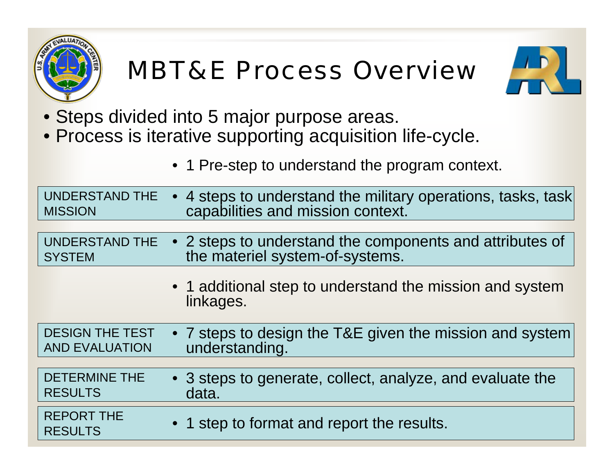

## *MBT&E Process Overview*



- Steps divided into 5 major purpose areas.
- Process is iterative supporting acquisition life-cycle.
	- 1 Pre-step to understand the program context.

| UNDERSTAND THE                      | • 4 steps to understand the military operations, tasks, task          |
|-------------------------------------|-----------------------------------------------------------------------|
| <b>MISSION</b>                      | capabilities and mission context.                                     |
|                                     |                                                                       |
| UNDERSTAND THE                      | • 2 steps to understand the components and attributes of              |
| <b>SYSTEM</b>                       | the materiel system-of-systems.                                       |
|                                     | • 1 additional step to understand the mission and system<br>linkages. |
| <b>DESIGN THE TEST</b>              | • 7 steps to design the T&E given the mission and system              |
| <b>AND EVALUATION</b>               | understanding.                                                        |
|                                     |                                                                       |
| <b>DETERMINE THE</b>                | • 3 steps to generate, collect, analyze, and evaluate the             |
| <b>RESULTS</b>                      | data.                                                                 |
| <b>REPORT THE</b><br><b>RESULTS</b> | • 1 step to format and report the results.                            |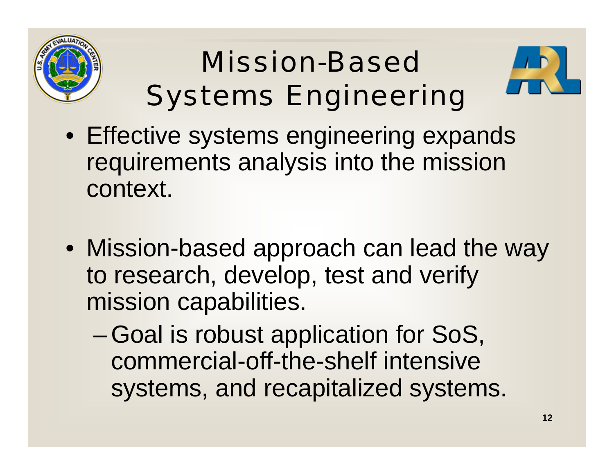

# *Mission-Based Systems Engineering*



- Effective systems engineering expands requirements analysis into the mission context.
- Mission-based approach can lead the way to research, develop, test and verify mission capabilities.
	- – Goal is robust application for SoS, commercial-off-the-shelf intensive systems, and recapitalized systems.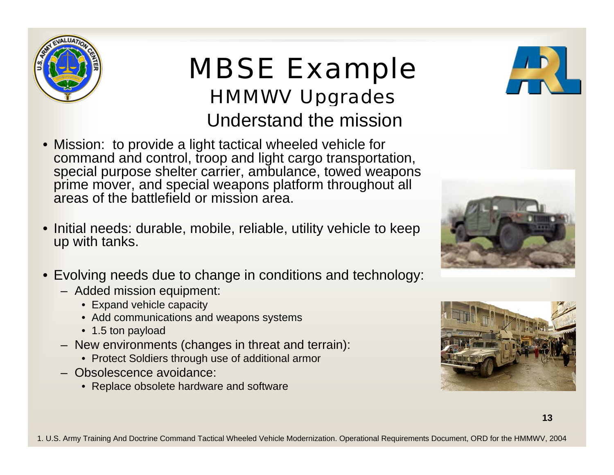

### *MBSE Example HMMWV Upgrades*

### Understand the mission

- Mission: to provide a light tactical wheeled vehicle for command and control, troop and light cargo transportation, special purpose shelter carrier, ambulance, towed weapons prime mover, and special weapons platform throughout all areas of the battlefield or mission area.
- Initial needs: durable, mobile, reliable, utility vehicle to keep up with tanks.
- Evolving needs due to change in conditions and technology:
	- Added mission equipment:
		- Expand vehicle capacity
		- Add communications and weapons systems
		- 1.5 ton payload
	- New environments (changes in threat and terrain):
		- Protect Soldiers through use of additional armor
	- Obsolescence avoidance:
		- Replace obsolete hardware and software





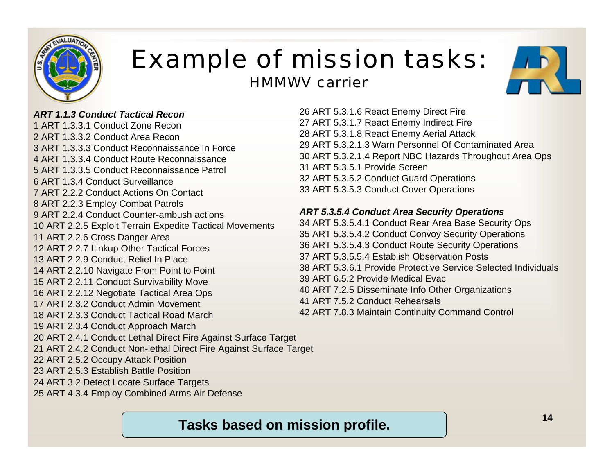

### *Example of mission tasks: HMMWV carrier*



#### *ART 1.1.3 Conduct Tactical Recon*

1 ART 1.3.3.1 Conduct Zone Recon2 ART 1.3.3.2 Conduct Area Recon3 ART 1.3.3.3 Conduct Reconnaissance In Force4 ART 1.3.3.4 Conduct Route Reconnaissance5 ART 1.3.3.5 Conduct Reconnaissance Patrol 6 ART 1.3.4 Conduct Surveillance7 ART 2.2.2 Conduct Actions On Contact 8 ART 2.2.3 Employ Combat Patrols 9 ART 2.2.4 Conduct Counter-ambush actions10 ART 2.2.5 Exploit Terrain Expedite Tactical Movements 11 ART 2.2.6 Cross Danger Area 12 ART 2.2.7 Linkup Other Tactical Forces 13 ART 2.2.9 Conduct Relief In Place14 ART 2.2.10 Navigate From Point to Point 15 ART 2.2.11 Conduct Survivability Move 16 ART 2.2.12 Negotiate Tactical Area Ops 17 ART 2.3.2 Conduct Admin Movement18 ART 2.3.3 Conduct Tactical Road March19 ART 2.3.4 Conduct Approach March 20 ART 2.4.1 Conduct Lethal Direct Fire Against Surface Target 21 ART 2.4.2 Conduct Non-lethal Direct Fire Against Surface Target 22 ART 2.5.2 Occupy Attack Position 23 ART 2.5.3 Establish Battle Position 24 ART 3.2 Detect Locate Surface Targets 25 ART 4.3.4 Employ Combined Arms Air Defense

26 ART 5.3.1.6 React Enemy Direct Fire 27 ART 5.3.1.7 React Enemy Indirect Fire 28 ART 5.3.1.8 React Enemy Aerial Attack 29 ART 5.3.2.1.3 Warn Personnel Of Contaminated Area30 ART 5.3.2.1.4 Report NBC Hazards Throughout Area Ops 31 ART 5.3.5.1 Provide Screen 32 ART 5.3.5.2 Conduct Guard Operations 33 ART 5.3.5.3 Conduct Cover Operations

#### *ART 5.3.5.4 Conduct Area Security Operations*

34 ART 5.3.5.4.1 Conduct Rear Area Base Security Ops 35 ART 5.3.5.4.2 Conduct Convoy Security Operations 36 ART 5.3.5.4.3 Conduct Route Security Operations 37 ART 5.3.5.5.4 Establish Observation Posts 38 ART 5.3.6.1 Provide Protective Service Selected Individuals 39 ART 6.5.2 Provide Medical Evac40 ART 7.2.5 Disseminate Info Other Organizations 41 ART 7.5.2 Conduct Rehearsals42 ART 7.8.3 Maintain Continuity Command Control

#### **Tasks based on mission profile.**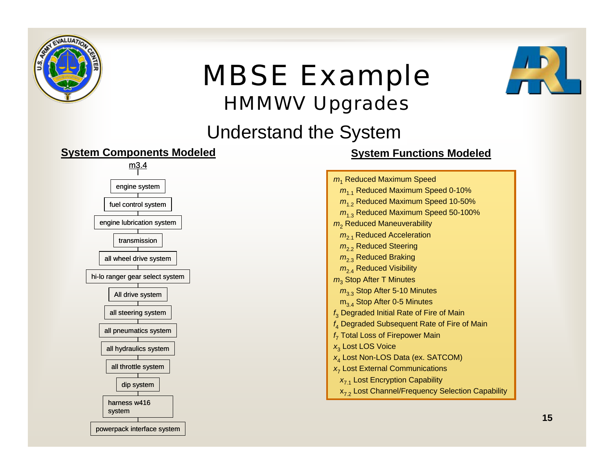

### *MBSE Example HMMWV Upgrades*



### Understand the System

#### **System Components Mod eled**



#### **d** <u>System Functions Modeled</u>

| m <sub>1</sub> Reduced Maximum Speed                |
|-----------------------------------------------------|
| $m_{1,1}$ Reduced Maximum Speed 0-10%               |
| $m_{12}$ Reduced Maximum Speed 10-50%               |
| $m_{1,3}$ Reduced Maximum Speed 50-100%             |
| $m2$ Reduced Maneuverability                        |
| $m_{2,1}$ Reduced Acceleration                      |
| $m2$ , Reduced Steering                             |
| $m_{2,3}$ Reduced Braking                           |
| $m_{2,4}$ Reduced Visibility                        |
| $m3$ Stop After T Minutes                           |
| $m_{3,3}$ Stop After 5-10 Minutes                   |
| $m_{3,4}$ Stop After 0-5 Minutes                    |
| $f_3$ Degraded Initial Rate of Fire of Main         |
| $f_4$ Degraded Subsequent Rate of Fire of Main      |
| $f7$ Total Loss of Firepower Main                   |
| $x_3$ Lost LOS Voice                                |
| x <sub>4</sub> Lost Non-LOS Data (ex. SATCOM)       |
| $x7$ Lost External Communications                   |
| $x_{7,1}$ Lost Encryption Capability                |
| $x_7$ , Lost Channel/Frequency Selection Capability |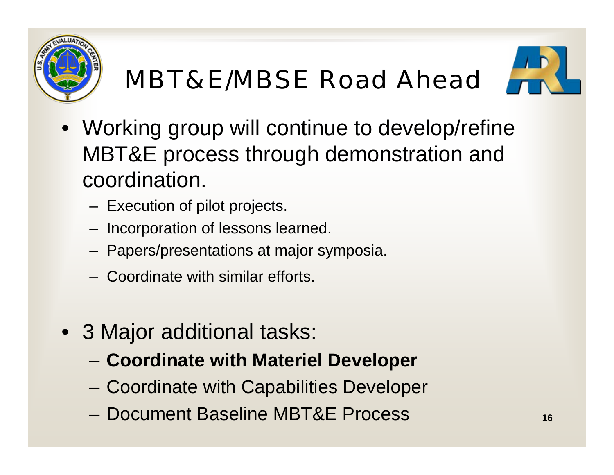

# *MBT&E/MBSE Road Ahead*



- Working group will continue to develop/refine MBT&E process through demonstration and coordination.
	- Execution of pilot projects.
	- Incorporation of lessons learned.
	- –Papers/presentations at major symposia.
	- Coordinate with similar efforts.
- 3 Major additional tasks:
	- –**Coordinate with Materiel Developer**
	- –Coordinate with Capabilities Developer
	- Document Baseline MBT&E Process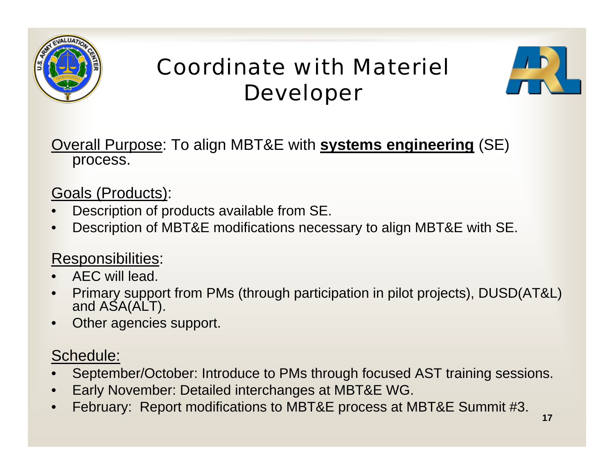

### *Coordinate with Materiel Developer*



Overall Purpose: To align MBT&E with **systems engineering** (SE) process.

Goals (Products):

- •Description of products available from SE.
- •Description of MBT&E modifications necessary to align MBT&E with SE.

#### Responsibilities:

- •AEC will lead.
- • Primary support from PMs (through participation in pilot projects), DUSD(AT&L) and ASA(ALT).
- •Other agencies support.

#### Schedule:

- •September/October: Introduce to PMs through focused AST training sessions.
- •Early November: Detailed interchanges at MBT&E WG.
- •February: Report modifications to MBT&E process at MBT&E Summit #3.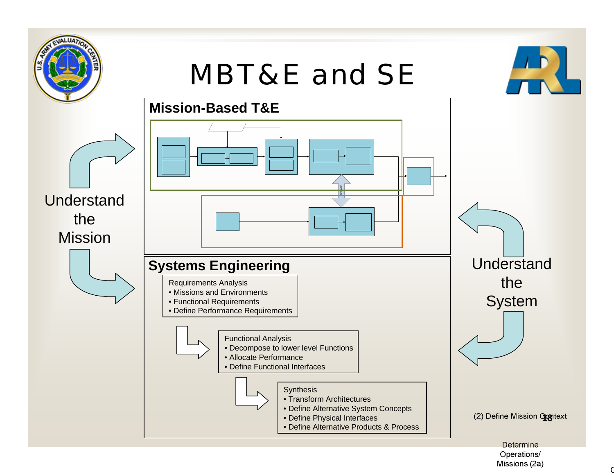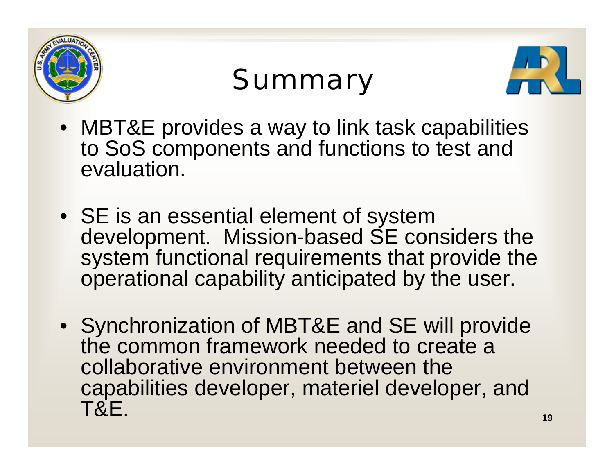





- MBT&E provides a way to link task capabilities to SoS components and functions to test and evaluation.
- SE is an essential element of system development. Mission-based SE considers the system functional requirements that provide the operational capability anticipated by the user.
- Synchronization of MBT&E and SE will provide the common framework needed to create a collaborative environment between the capabilities developer, materiel developer, and T&E.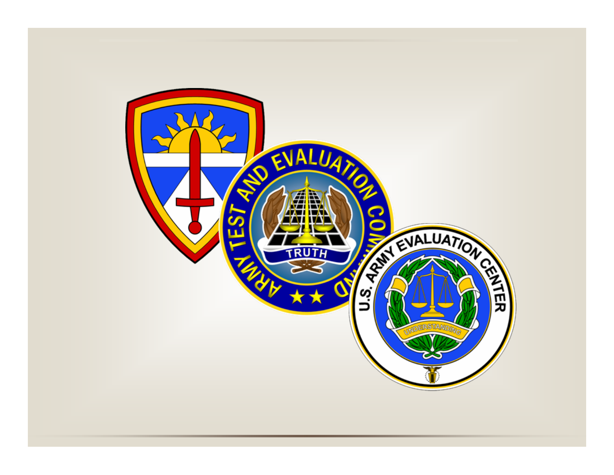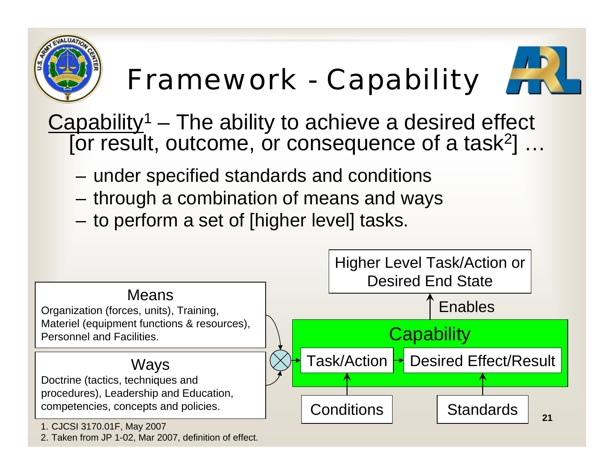# *Framework - Capability*



Capability<sup>1</sup> – The ability to achieve a desired effect [or result, outcome, or consequence of a task2] …

- under specified standards and conditions
- –through a combination of means and ways
- to perform a set of [higher level] tasks.



2. Taken from JP 1-02, Mar 2007, definition of effect.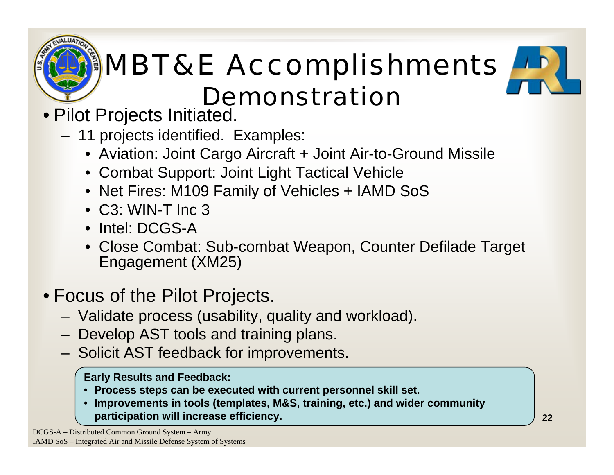# *MBT&E Accomplishments Demonstration*

- Pilot Projects Initiated.
	- 11 projects identified. Examples:
		- Aviation: Joint Cargo Aircraft + Joint Air-to-Ground Missile
		- Combat Support: Joint Light Tactical Vehicle
		- Net Fires: M109 Family of Vehicles + IAMD SoS
		- C3: WIN-T Inc 3
		- Intel: DCGS-A
		- Close Combat: Sub-combat Weapon, Counter Defilade Target Engagement (XM25)
- Focus of the Pilot Projects.
	- Validate process (usability, quality and workload).
	- Develop AST tools and training plans.
	- Solicit AST feedback for improvements.

**Early Results and Feedback:**

- **Process steps can be executed with current personnel skill set.**
- **Improvements in tools (templates, M&S, training, etc.) and wider community participation will increase efficiency.**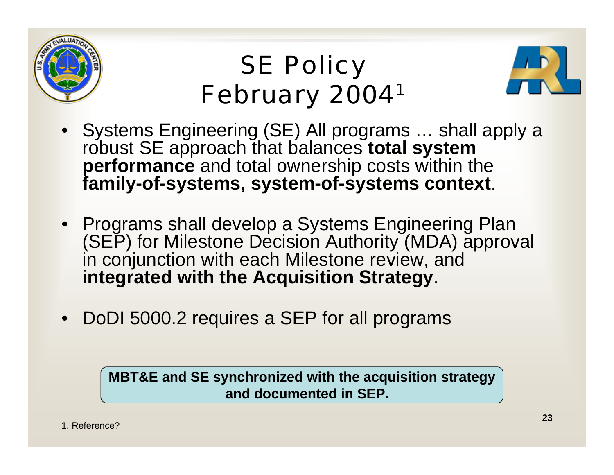

# *SE Policy February 20041*



- Systems Engineering (SE) All programs ... shall apply a robust SE approach that balances **total system performance** and total ownership costs within the **family-of-systems, system-of-systems context**.
- Programs shall develop a Systems Engineering Plan (SEP) for Milestone Decision Authority (MDA) approval in conjunction with each Milestone review, and **integrated with the Acquisition Strategy**.
- DoDI 5000.2 requires a SEP for all programs

**MBT&E and SE synchronized with the acquisition strategy and documented in SEP.**